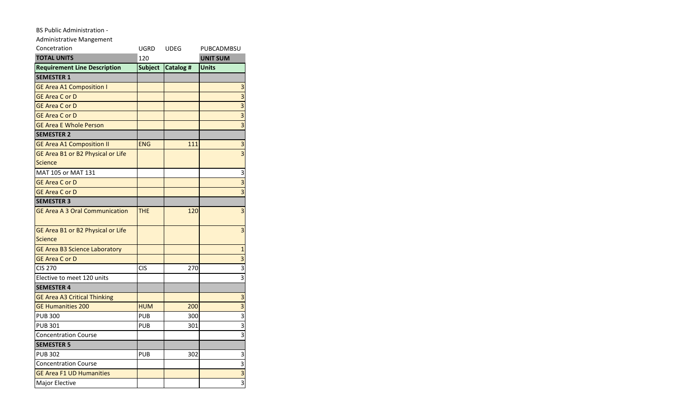## BS Public Administration -

Administrative Mangement

| Concetration                          | UGRD           | <b>UDEG</b> | PUBCADMBSU                |
|---------------------------------------|----------------|-------------|---------------------------|
| <b>TOTAL UNITS</b>                    | 120            |             | <b>UNIT SUM</b>           |
| <b>Requirement Line Description</b>   | <b>Subject</b> | Catalog #   | <b>Units</b>              |
| <b>SEMESTER 1</b>                     |                |             |                           |
| <b>GE Area A1 Composition I</b>       |                |             | 3                         |
| <b>GE Area C or D</b>                 |                |             | $\overline{\mathbf{3}}$   |
| <b>GE Area C or D</b>                 |                |             |                           |
| <b>GE Area C or D</b>                 |                |             | $\overline{\mathbf{3}}$   |
| <b>GE Area E Whole Person</b>         |                |             | $\overline{\mathbf{3}}$   |
| <b>SEMESTER 2</b>                     |                |             |                           |
| <b>GE Area A1 Composition II</b>      | <b>ENG</b>     | 111         | 3                         |
| GE Area B1 or B2 Physical or Life     |                |             | $\overline{3}$            |
| <b>Science</b>                        |                |             |                           |
| MAT 105 or MAT 131                    |                |             | 3                         |
| <b>GE Area C or D</b>                 |                |             | $\overline{3}$            |
| <b>GE Area C or D</b>                 |                |             | $\overline{\mathbf{3}}$   |
| <b>SEMESTER 3</b>                     |                |             |                           |
| <b>GE Area A 3 Oral Communication</b> | THE            | 120         | $\overline{\mathbf{3}}$   |
| GE Area B1 or B2 Physical or Life     |                |             | $\overline{3}$            |
| <b>Science</b>                        |                |             |                           |
| <b>GE Area B3 Science Laboratory</b>  |                |             | $\mathbf{1}$              |
| <b>GE Area C or D</b>                 |                |             | 3                         |
| $\overline{\text{C}}$ IS 270          | <b>CIS</b>     | 270         | $\overline{\mathbf{3}}$   |
| Elective to meet 120 units            |                |             | $\overline{3}$            |
| <b>SEMESTER 4</b>                     |                |             |                           |
| <b>GE Area A3 Critical Thinking</b>   |                |             | 3                         |
| <b>GE Humanities 200</b>              | <b>HUM</b>     | 200         | $\overline{3}$            |
| <b>PUB 300</b>                        | <b>PUB</b>     | 300         |                           |
| <b>PUB 301</b>                        | <b>PUB</b>     | 301         | $\overline{\overline{3}}$ |
| <b>Concentration Course</b>           |                |             | $\overline{3}$            |
| <b>SEMESTER 5</b>                     |                |             |                           |
| <b>PUB 302</b>                        | <b>PUB</b>     | 302         | 3                         |
| <b>Concentration Course</b>           |                |             | 3                         |
| <b>GE Area F1 UD Humanities</b>       |                |             | $\overline{\mathbf{3}}$   |
| Major Elective                        |                |             | $\overline{3}$            |